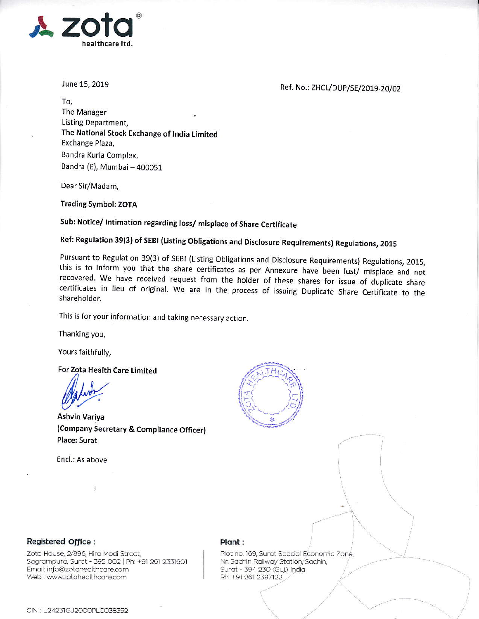

June 15, 2019

Ref. No.: ZHCL/DUP/SE/2019-20/02

To, The Manager Listing Department, The National Stock Exchange of India Limited Exchange Plaza, Bandra Kurla Complex, Bandra (E), Mumbai - 400051

Dear Sir/Madam,

**Trading Symbol: ZOTA** 

Sub: Notice/ Intimation regarding loss/ misplace of Share Certificate

Ref: Regulation 39(3) of SEBI (Listing Obligations and Disclosure Requirements) Regulations, 2015

Pursuant to Regulation 39(3) of SEBI (Listing Obligations and Disclosure Requirements) Regulations, 2015, this is to inform you that the share certificates as per Annexure have been lost/ misplace and not recovered. We have received request from the holder of these shares for issue of duplicate share certificates in lieu of original. We are in the process of issuing Duplicate Share Certificate to the shareholder.

This is for your information and taking necessary action.

Thanking you,

Yours faithfully,

For Zota Health Care Limited

Ashvin Variya (Company Secretary & Compliance Officer) Place: Surat

Encl.: As above

 $\ddot{\rm s}$ 



## Registered Office:

Zota House, 2/896, Hira Modi Street, Sagrampura, Surat - 395 002 | Ph: +91 261 2331601 Email: info@zotahealthcare.com Web: www.zotahealthcare.com

## Plant:

Plot no. 169, Surat Special Economic Zone, Nr. Sachin Railway Station, Sachin, Surat - 394 230 (Guj.) India Ph: +91 261 2397122